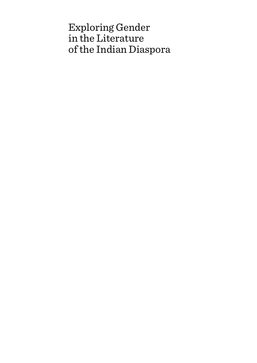# Exploring Gender in the Literature of the Indian Diaspora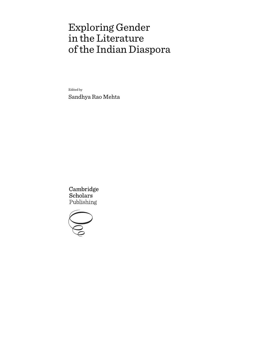# Exploring Gender in the Literature of the Indian Diaspora

Edited by Sandhya Rao Mehta

Cambridge **Scholars** Publishing

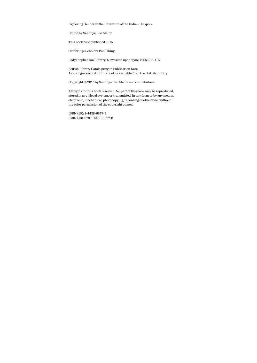Exploring Gender in the Literature of the Indian Diaspora

Edited by Sandhya Rao Mehta

This book first published 2015

Cambridge Scholars Publishing

Lady Stephenson Library, Newcastle upon Tyne, NE6 2PA, UK

British Library Cataloguing in Publication Data A catalogue record for this book is available from the British Library

Copyright © 2015 by Sandhya Rao Mehta and contributors

All rights for this book reserved. No part of this book may be reproduced, stored in a retrieval system, or transmitted, in any form or by any means, electronic, mechanical, photocopying, recording or otherwise, without the prior permission of the copyright owner.

ISBN (10): 1-4438-6877-9 ISBN (13): 978-1-4438-6877-8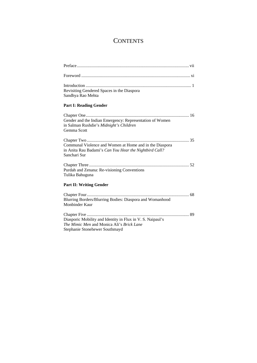# **CONTENTS**

| Revisiting Gendered Spaces in the Diaspora<br>Sandhya Rao Mehta                                                                           |
|-------------------------------------------------------------------------------------------------------------------------------------------|
| <b>Part I: Reading Gender</b>                                                                                                             |
| Gender and the Indian Emergency: Representation of Women<br>in Salman Rushdie's Midnight's Children<br>Gemma Scott                        |
| Communal Violence and Women at Home and in the Diaspora<br>in Anita Rau Badami's Can You Hear the Nightbird Call?<br>Sanchari Sur         |
| Purdah and Zenana: Re-visioning Conventions<br>Tulika Bahuguna                                                                            |
| <b>Part II: Writing Gender</b>                                                                                                            |
| Blurring Borders/Blurring Bodies: Diaspora and Womanhood<br>Monbinder Kaur                                                                |
| Diasporic Mobility and Identity in Flux in V. S. Naipaul's<br>The Mimic Men and Monica Ali's Brick Lane<br>Stephanie Stonehewer Southmayd |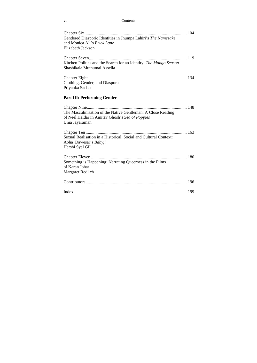#### vi Contents

| Gendered Diasporic Identities in Jhumpa Lahiri's The Namesake                                                   |  |
|-----------------------------------------------------------------------------------------------------------------|--|
| and Monica Ali's Brick Lane                                                                                     |  |
| Elizabeth Jackson                                                                                               |  |
|                                                                                                                 |  |
| Kitchen Politics and the Search for an Identity: The Mango Season                                               |  |
| Shashikala Muthumal Assella                                                                                     |  |
|                                                                                                                 |  |
| Clothing, Gender, and Diaspora                                                                                  |  |
| Priyanka Sacheti                                                                                                |  |
| <b>Part III: Performing Gender</b>                                                                              |  |
|                                                                                                                 |  |
|                                                                                                                 |  |
| The Masculinisation of the Native Gentleman: A Close Reading<br>of Neel Haldar in Amitav Ghosh's Sea of Poppies |  |
| Uma Jayaraman                                                                                                   |  |
|                                                                                                                 |  |
|                                                                                                                 |  |
| Sexual Realisation in a Historical, Social and Cultural Context:<br>Abha Dawesar's Babyji                       |  |
| Harshi Syal Gill                                                                                                |  |
|                                                                                                                 |  |
|                                                                                                                 |  |
| Something is Happening: Narrating Queerness in the Films<br>of Karan Johar                                      |  |
| Margaret Redlich                                                                                                |  |
|                                                                                                                 |  |
|                                                                                                                 |  |
|                                                                                                                 |  |
|                                                                                                                 |  |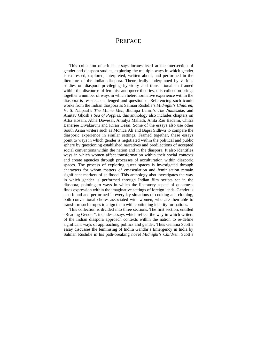## **PREFACE**

This collection of critical essays locates itself at the intersection of gender and diaspora studies, exploring the multiple ways in which gender is expressed, explored, interpreted, written about, and performed in the literature of the Indian diaspora. Theoretically underpinned by various studies on diaspora privileging hybridity and transnationalism framed within the discourse of feminist and queer theories, this collection brings together a number of ways in which heteronormative experience within the diaspora is resisted, challenged and questioned. Referencing such iconic works from the Indian diaspora as Salman Rushdie's *Midnight's Children*, V. S. Naipaul's *The Mimic Men*, Jhumpa Lahiri's *The Namesake*, and Amitav Ghosh's *Sea of Poppies*, this anthology also includes chapters on Attia Hosain, Abha Dawesar, Amulya Malladi, Anita Rau Badami, Chitra Baneriee Divakaruni and Kiran Desai. Some of the essays also use other South Asian writers such as Monica Ali and Bapsi Sidhwa to compare the diasporic experience in similar settings. Framed together, these essays point to ways in which gender is negotiated within the political and public sphere by questioning established narratives and predilections of accepted social conventions within the nation and in the diaspora. It also identifies ways in which women affect transformation within their social contexts and create agencies through processes of acculturation within diasporic spaces. The process of exploring queer spaces is investigated through characters for whom matters of emasculation and feminisation remain significant markers of selfhood. This anthology also investigates the way in which gender is performed through Indian film scripts set in the diaspora, pointing to ways in which the liberatory aspect of queerness finds expression within the imaginative settings of foreign lands. Gender is also found and performed in everyday situations of cooking and clothing, both conventional chores associated with women, who are then able to transform such tropes to align them with continuing identity formations.

This collection is divided into three sections. The first section, entitled "Reading Gender", includes essays which reflect the way in which writers of the Indian diaspora approach contexts within the nation to re-define significant ways of approaching politics and gender. Thus Gemma Scott's essay discusses the feminising of Indira Gandhi's Emergency in India by Salman Rushdie in his path-breaking novel *Midnight's Children*. Scott's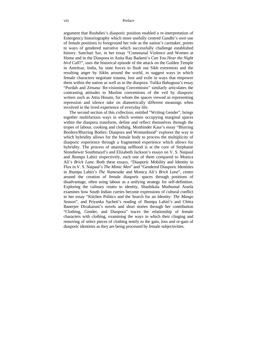argument that Rushdies's diasporic position enabled a re-interpretation of Emergency historiography which more usefully centred Gandhi's own use of female positions to foreground her role as the nation's caretaker, points to ways of gendered narrative which successfully challenge established history. Sanchari Sur, in her essay "Communal Violence and Women at Home and in the Diaspora in Anita Rau Badami's *Can You Hear the Night bird Call*?", uses the historical episode of the attack on the Golden Temple in Amritsar, India, by state forces to flush out Sikh extremists and the resulting anger by Sikhs around the world, to suggest ways in which female characters negotiate trauma, loss and exile in ways that empower them within the nation as well as in the diaspora. Tulika Bahuguna's essay "Purdah and Zenana: Re-visioning Conventions" similarly articulates the contrasting attitudes to Muslim conventions of the veil by diasporic writers such as Attia Hosain, for whom the spaces viewed as representing repression and silence take on diametrically different meanings when involved in the lived experience of everyday life.

The second section of this collection, entitled "Writing Gender", brings together multifarious ways in which women occupying marginal spaces within the diaspora transform, define and reflect themselves through the tropes of labour, cooking and clothing. Monbinder Kaur's essay "Blurring Borders/Blurring Bodies: Diaspora and Womanhood" explores the way in which hybridity allows for the female body to process the multiplicity of diasporic experience through a fragmented experience which allows for hybridity. The process of attaining selfhood is at the core of Stephanie Stonehewer Southmayd's and Elizabeth Jackson's essays on V. S. Naipaul and Jhumpa Lahiri respectively, each one of them compared to Monica Ali's *Brick Lane*. Both these essays, "Diasporic Mobility and Identity in Flux in V. S. Naipaul's *The Mimic Men*" and "Gendered Diasporic Identities in Jhumpa Lahiri's *The Namesake* and Monica Ali's *Brick Lane*", centre around the creation of female diasporic spaces through positions of disadvantage, often using labour as a unifying strategy for self-definition. Exploring the culinary routes to identity, Shashikala Muthumal Assela examines how South Indian curries become expressions of cultural conflict in her essay "Kitchen Politics and the Search for an Identity: *The Mango Season*", and Priyanka Sacheti's reading of Jhumpa Lahiri's and Chitra Banerjee Divakaruni's novels and short stories through her contribution "Clothing, Gender, and Diaspora" traces the relationship of female characters with clothing, examining the ways in which their clinging and removing of select pieces of clothing testify to the gain, loss and re-gain of diasporic identities as they are being processed by female subjectivities.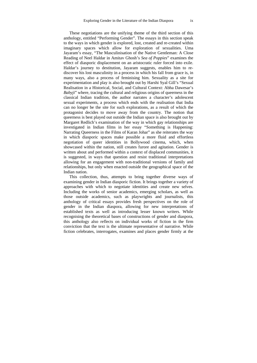These negotiations are the unifying theme of the third section of this anthology, entitled "Performing Gender". The essays in this section speak to the ways in which gender is explored, lost, created and re-created within imaginary spaces which allow for exploration of sexualities. Uma Jayaram's essay, "The Masculinisation of the Native Gentleman: A Close Reading of Neel Haldar in Amitav Ghosh's *Sea of Poppies*" examines the effect of diasporic displacement on an aristocratic ruler forced into exile. Haldar's journey to destitution, Jayaram suggests, enables him to rediscover his lost masculinity in a process in which his fall from grace is, in many ways, also a process of feminising him. Sexuality as a site for experimentation and play is also brought out by Harshi Syal Gill's "Sexual Realisation in a Historical, Social, and Cultural Context: Abha Dawesar's *Babyji*" where, tracing the cultural and religious origins of queerness in the classical Indian tradition, the author narrates a character's adolescent sexual experiments, a process which ends with the realisation that India can no longer be the site for such explorations, as a result of which the protagonist decides to move away from the country. The notion that queerness is best played out outside the Indian space is also brought out by Margaret Redlich's examination of the way in which gay relationships are investigated in Indian films in her essay "Something is Happening: Narrating Queerness in the Films of Karan Johar" as she reiterates the way in which diasporic spaces make possible a more fluid and effortless negotiation of queer identities in Bollywood cinema, which, when showcased within the nation, still creates furore and agitation. Gender is written about and performed within a context of displaced communities, it is suggested, in ways that question and resist traditional interpretations allowing for an engagement with non-traditional versions of family and relationships, but only when enacted outside the geographical space of the Indian nation.

This collection, thus, attempts to bring together diverse ways of examining gender in Indian diasporic fiction. It brings together a variety of approaches with which to negotiate identities and create new selves. Including the works of senior academics, emerging scholars, as well as those outside academics, such as playwrights and journalists, this anthology of critical essays provides fresh perspectives on the role of gender in the Indian diaspora, allowing for new interpretations of established texts as well as introducing lesser known writers. While recognising the theoretical bases of constructions of gender and diaspora, this anthology also reflects on individual works of fiction in the firm conviction that the text is the ultimate representative of narrative. While fiction celebrates, interrogates, examines and places gender firmly at the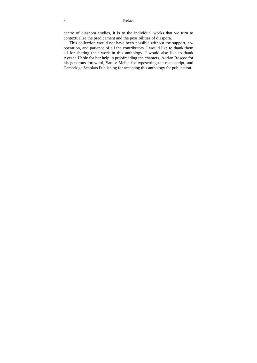#### x Preface

centre of diaspora studies, it is to the individual works that we turn to contextualise the predicament and the possibilities of diaspora.

This collection would not have been possible without the support, cooperation, and patience of all the contributors. I would like to thank them all for sharing their work in this anthology. I would also like to thank Ayesha Heble for her help in proofreading the chapters, Adrian Roscoe for his generous foreword, Sanjiv Mehta for typesetting the manuscript, and Cambridge Scholars Publishing for accepting this anthology for publication.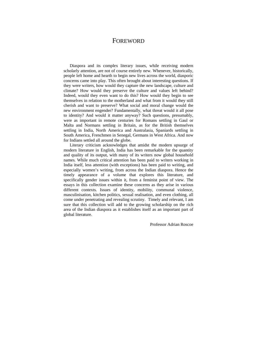### FOREWORD

Diaspora and its complex literary issues, while receiving modern scholarly attention, are not of course entirely new. Whenever, historically, people left home and hearth to begin new lives across the world, diasporic concerns came into play. This often brought about interesting questions. If they were writers, how would they capture the new landscape, culture and climate? How would they preserve the culture and values left behind? Indeed, would they even want to do this? How would they begin to see themselves in relation to the motherland and what from it would they still cherish and want to preserve? What social and moral change would the new environment engender? Fundamentally, what threat would it all pose to identity? And would it matter anyway? Such questions, presumably, were as important in remote centuries for Romans settling in Gaul or Malta and Normans settling in Britain, as for the British themselves settling in India, North America and Australasia, Spaniards settling in South America, Frenchmen in Senegal, Germans in West Africa. And now for Indians settled all around the globe.

Literary criticism acknowledges that amidst the modern upsurge of modern literature in English, India has been remarkable for the quantity and quality of its output, with many of its writers now global household names. While much critical attention has been paid to writers working in India itself, less attention (with exceptions) has been paid to writing, and especially women's writing, from across the Indian diaspora. Hence the timely appearance of a volume that explores this literature, and specifically gender issues within it, from a feminist point of view. The essays in this collection examine these concerns as they arise in various different contexts. Issues of identity, mobility, communal violence, masculinisation, kitchen politics, sexual realisation, and even clothing, all come under penetrating and revealing scrutiny. Timely and relevant, I am sure that this collection will add to the growing scholarship on the rich area of the Indian diaspora as it establishes itself as an important part of global literature.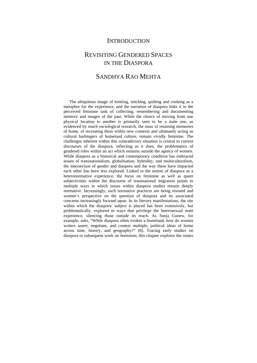## **INTRODUCTION**

# REVISITING GENDERED SPACES IN THE DIASPORA

## SANDHYA RAO MEHTA

The ubiquitous image of knitting, stitching, quilting and cooking as a metaphor for the experience, and the narration of diaspora links it to the perceived feminine task of collecting, remembering and documenting memory and images of the past. While the choice of moving from one physical location to another is primarily seen to be a male one, as evidenced by much sociological research, the onus of retaining memories of home, of recreating them within new contexts and ultimately acting as cultural harbingers of homeland culture, remain vividly feminine. The challenges inherent within this contradictory situation is central to current discourses of the diaspora, reflecting as it does, the problematics of gendered roles within an act which remains outside the agency of women. While diaspora as a historical and contemporary condition has embraced issues of transnationalism, globalisation, hybridity, and multiculturalism, the intersection of gender and diaspora and the way these have impacted each other has been less explored. Linked to the notion of diaspora as a heteronormative experience, the focus on feminine as well as queer subjectivities within the discourse of transnational migration points to multiple ways in which issues within diaspora studies remain deeply normative. Increasingly, such normative practices are being resisted and women's perspective on the question of diaspora and its associated concerns increasingly focused upon. In its literary manifestations, the site within which the diasporic subject is placed has been extensively, but problematically, explored in ways that privilege the heterosexual male experience, silencing those outside its reach. As Sneja Gunew, for example, asks, "While diaspora often evokes a homeland, how do women writers assert, negotiate, and contest multiple, political ideas of home across time, history, and geography?" (8). Tracing early studies on diaspora to subsequent work on feminism, this chapter explores the routes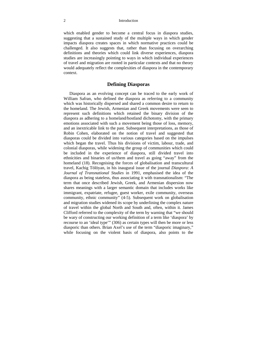#### 2 Introduction

which enabled gender to become a central focus in diaspora studies, suggesting that a sustained study of the multiple ways in which gender impacts diaspora creates spaces in which normative practices could be challenged. It also suggests that, rather than focusing on overarching definitions and theories which could link diverse experiences, diaspora studies are increasingly pointing to ways in which individual experiences of travel and migration are rooted in particular contexts and that no theory would adequately reflect the complexities of diaspora in the contemporary context.

#### **Defining Diasporas**

Diaspora as an evolving concept can be traced to the early work of William Safran, who defined the diaspora as referring to a community which was historically dispersed and shared a common desire to return to the homeland. The Jewish, Armenian and Greek movements were seen to represent such definitions which retained the binary division of the diaspora as adhering to a homeland/hostland dichotomy, with the primary emotions associated with such a movement being those of loss, memory, and an inextricable link to the past. Subsequent interpretations, as those of Robin Cohen, elaborated on the notion of travel and suggested that diasporas could be divided into various categories based on the impulses which began the travel. Thus his divisions of victim, labour, trade, and colonial diasporas, while widening the group of communities which could be included in the experience of diaspora, still divided travel into ethnicities and binaries of us/them and travel as going "away" from the homeland (18). Recognising the forces of globalisation and transcultural travel, Kachig Tölöyan, in his inaugural issue of the journal *Diaspora: A Journal of Transnational Studies* in 1991, emphasised the idea of the diaspora as being stateless, thus associating it with transnationalism: "The term that once described Jewish, Greek, and Armenian dispersion now shares meanings with a larger semantic domain that includes works like immigrant, expatriate, refugee, guest worker, exile community, overseas community, ethnic community" (4-5). Subsequent work on globalisation and migration studies widened its scope by underlining the complex nature of travel within the global North and South and, often, within it. James Clifford referred to the complexity of the term by warning that "we should be wary of constructing our working definition of a term like 'diaspora' by recourse to an 'ideal type'" (306) as certain types will then be more or less diasporic than others. Brian Axel's use of the term "diasporic imaginary," while focusing on the violent basis of diaspora, also points to the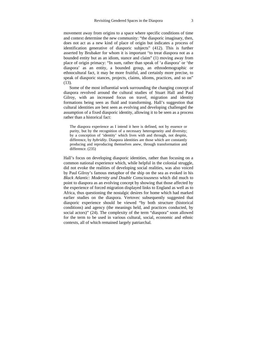movement away from origins to a space where specific conditions of time and context determine the new community: "the diasporic imaginary, then, does not act as a new kind of place of origin but indicates a process of identification generative of diasporic subjects" (412). This is further asserted by Brubaker for whom it is important "to treat diaspora not as a bounded entity but as an idiom, stance and claim" (1) moving away from place of origin primacy: "In sum, rather than speak of 'a diaspora' or 'the diaspora' as an entity, a bounded group, an ethnodemographic or ethnocultural fact, it may be more fruitful, and certainly more precise, to speak of diasporic stances, projects, claims, idioms, practices, and so on"  $(13)$ .

Some of the most influential work surrounding the changing concept of diaspora revolved around the cultural studies of Stuart Hall and Paul Gilroy, with an increased focus on travel, migration and identity formations being seen as fluid and transforming. Hall's suggestion that cultural identities are best seen as evolving and developing challenged the assumption of a fixed diasporic identity, allowing it to be seen as a process rather than a historical fact:

The diaspora experience as I intend it here is defined, not by essence or purity, but by the recognition of a necessary heterogeneity and diversity; by a conception of 'identity' which lives with and through, not despite, difference, by *hybridity*. Diaspora identities are those which are constantly producing and reproducing themselves anew, through transformation and difference. (235)

Hall's focus on developing diasporic identities, rather than focusing on a common national experience which, while helpful in the colonial struggle, did not evoke the realities of developing social realities, was also voiced by Paul Gilroy's famous metaphor of the ship on the sea as evoked in his *Black Atlantic: Modernity and Double Consciousness* which did much to point to diaspora as an evolving concept by showing that those affected by the experience of forced migration displayed links to England as well as to Africa, thus questioning the nostalgic desires for home which had marked earlier studies on the diaspora. Vertovec subsequently suggested that diasporic experience should be viewed "by both structure (historical conditions) and agency (the meanings held, and practices conducted, by social actors)" (24). The complexity of the term "diaspora" soon allowed for the term to be used in various cultural, social, economic and ethnic contexts, all of which remained largely patriarchal.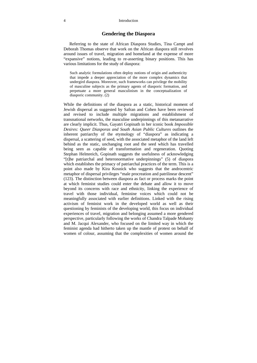#### **Gendering the Diaspora**

Referring to the state of African Diaspora Studies, Tina Campt and Deborah Thomas observe that work on the African diaspora still revolves around issues of travel, migration and homeland at the expense of more "expansive" notions, leading to re-asserting binary positions. This has various limitations for the study of diaspora:

Such analytic formulations often deploy notions of origin and authenticity that impede a deeper appreciation of the more complex dynamics that undergird diaspora. Moreover, such frameworks can privilege the mobility of masculine subjects as the primary agents of diasporic formation, and perpetuate a more general masculinism in the conceptualization of diasporic community. (2)

While the definitions of the diaspora as a static, historical moment of Jewish dispersal as suggested by Safran and Cohen have been reviewed and revised to include multiple migrations and establishment of transnational networks, the masculine underpinnings of this metanarrative are clearly implicit. Thus, Gayatri Gopinath in her iconic book *Impossible Desires: Queer Diasporas and South Asian Public Cultures* outlines the inherent patriarchy of the etymology of "diaspora" as indicating a dispersal, a scattering of seed, with the associated metaphor of the land left behind as the static, unchanging root and the seed which has travelled being seen as capable of transformation and regeneration. Quoting Stephan Helmreich, Gopinath suggests the usefulness of acknowledging "[t]he patriarchal and heteronormative underpinnings" (5) of diaspora which establishes the primacy of patriarchal practices of the term. This is a point also made by Kira Kosnick who suggests that the androcentric metaphor of dispersal privileges "male procreation and patrilinear descent" (123). The distinction between diaspora as fact or process marks the point at which feminist studies could enter the debate and allow it to move beyond its concerns with race and ethnicity, linking the experience of travel with those individual, feminine voices which could not be meaningfully associated with earlier definitions. Linked with the rising activism of feminist work in the developed world as well as their questioning by feminists of the developing world, this focus on individual experiences of travel, migration and belonging assumed a more gendered perspective, particularly following the works of Chandra Talpade Mohanty and M. Jacqui Alexander, who focused on the limited way in which the feminist agenda had hitherto taken up the mantle of protest on behalf of women of colour, assuming that the complexities of women around the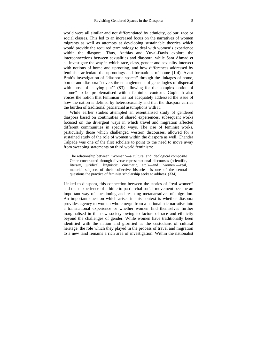world were all similar and not differentiated by ethnicity, colour, race or social classes. This led to an increased focus on the narratives of women migrants as well as attempts at developing sustainable theories which would provide the required terminology to deal with women's experience within the diaspora. Thus, Anthias and Yuval-Davis explore the interconnections between sexualities and diaspora, while Sara Ahmad et al. investigate the way in which race, class, gender and sexuality intersect with notions of home and uprooting, and how differences addressed by feminists articulate the uprootings and formations of home (1-4). Avtar Brah's investigation of "diasporic spaces" through the linkages of home, border and diaspora "covers the entanglements of genealogies of dispersal with those of 'staying put'" (83), allowing for the complex notion of "home" to be problematised within feminine contexts. Gopinath also voices the notion that feminism has not adequately addressed the issue of how the nation is defined by heterosexuality and that the diaspora carries the burden of traditional patriarchal assumptions with it.

While earlier studies attempted an essentialised study of gendered diaspora based on continuities of shared experiences, subsequent works focused on the divergent ways in which travel and migration affected different communities in specific ways. The rise of feminist works, particularly those which challenged western discourses, allowed for a sustained study of the role of women within the diaspora as well. Chandra Talpade was one of the first scholars to point to the need to move away from sweeping statements on third world feminism:

The relationship between "Woman"—a cultural and ideological composite Other constructed through diverse representational discourses (scientific, literary, juridical, linguistic, cinematic, etc.)—and "women"—real, material subjects of their collective histories—is one of the central questions the practice of feminist scholarship seeks to address. (334)

Linked to diaspora, this connection between the stories of "real women" and their experience of a hitherto patriarchal social movement became an important way of questioning and resisting metanarratives of migration. An important question which arises in this context is whether diaspora provides agency to women who emerge from a nationalistic narrative into a transnational experience or whether women find themselves further marginalised in the new society owing to factors of race and ethnicity beyond the challenges of gender. While women have traditionally been identified with the nation and glorified as the custodians of cultural heritage, the role which they played in the process of travel and migration to a new land remains a rich area of investigation. Within the nationalist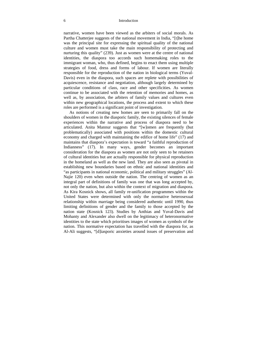#### 6 Introduction

narrative, women have been viewed as the arbiters of social morals. As Partha Chatterjee suggests of the national movement in India, "[t]he home was the principal site for expressing the spiritual quality of the national culture and women must take the main responsibility of protecting and nurturing this quality" (239). Just as women were at the centre of national identities, the diaspora too accords such homemaking roles to the immigrant woman, who, thus defined, begins to enact them using multiple strategies of food, dress and forms of labour. If women are literally responsible for the reproduction of the nation in biological terms (Yuval-Davis) even in the diaspora, such spaces are replete with possibilities of acquiescence, resistance and negotiation, although largely determined by particular conditions of class, race and other specificities. As women continue to be associated with the retention of memories and homes, as well as, by association, the arbiters of family values and cultures even within new geographical locations, the process and extent to which these roles are performed is a significant point of investigation.

As notions of creating new homes are seen to primarily fall on the shoulders of women in the diasporic family, the existing silences of female experiences within the narrative and process of diaspora need to be articulated. Anita Mannur suggests that "[w]omen are frequently (but problematically) associated with positions within the domestic cultural economy and charged with maintaining the edifice of home life" (17) and maintains that diaspora's expectation is toward "a faithful reproduction of Indianness" (17). In many ways, gender becomes an important consideration for the diaspora as women are not only seen to be retainers of cultural identities but are actually responsible for physical reproduction in the homeland as well as the new land. They are also seen as pivotal in establishing new boundaries based on ethnic and national identities and "as participants in national economic, political and military struggles" (Al-Najie 120) even when outside the nation. The centring of women as an integral part of definitions of family was one that was long accepted by, not only the nation, but also within the context of migration and diaspora. As Kira Kosnick shows, all family re-unification programmes within the United States were determined with only the normative heterosexual relationship within marriage being considered authentic until 1990, thus limiting definitions of gender and the family to those accepted by the nation state (Kosnick 123). Studies by Anthias and Yuval-Davis and Mohanty and Alexander also dwell on the legitimacy of heteronormative identities to the state which prioritises images of women as symbols of the nation. This normative expectation has travelled with the diaspora for, as Al-Ali suggests, "[d]iasporic anxieties around issues of preservation and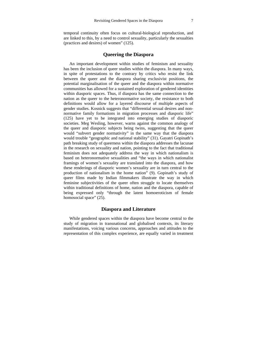temporal continuity often focus on cultural-biological reproduction, and are linked to this, by a need to control sexuality, particularly the sexualties (practices and desires) of women" (125).

#### **Queering the Diaspora**

An important development within studies of feminism and sexuality has been the inclusion of queer studies within the diaspora. In many ways, in spite of protestations to the contrary by critics who resist the link between the queer and the diaspora sharing exclusivist positions, the potential marginalisation of the queer and the diaspora within normative communities has allowed for a sustained exploration of gendered identities within diasporic spaces. Thus, if diaspora has the same connection to the nation as the queer to the heteronormative society, the resistance to both definitions would allow for a layered discourse of multiple aspects of gender studies. Kosnick suggests that "differential sexual desires and nonnormative family formations in migration processes and diasporic life" (125) have yet to be integrated into emerging studies of diasporic societies. Meg Wesling, however, warns against the common analogy of the queer and diasporic subjects being twins, suggesting that the queer would "subvert gender normativity" in the same way that the diaspora would trouble "geographic and national stability" (31). Gayatri Gopinath's path breaking study of queerness within the diaspora addresses the lacunae in the research on sexuality and nation, pointing to the fact that traditional feminism does not adequately address the way in which nationalism is based on heteronormative sexualities and "the ways in which nationalist framings of women's sexuality are translated into the diaspora, and how these renderings of diasporic women's sexuality are in turn central to the production of nationalism in the home nation" (9). Gopinath's study of queer films made by Indian filmmakers illustrate the way in which feminine subjectivities of the queer often struggle to locate themselves within traditional definitions of home, nation and the diaspora, capable of being expressed only "through the latent homoeroticism of female homosocial space" (25).

#### **Diaspora and Literature**

While gendered spaces within the diaspora have become central to the study of migration in transnational and globalised contexts, its literary manifestations, voicing various concerns, approaches and attitudes to the representation of this complex experience, are equally varied in treatment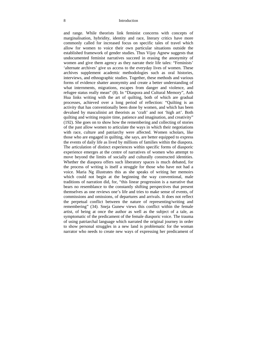#### 8 Introduction

and range. While theorists link feminist concerns with concepts of marginalisation, hybridity, identity and race, literary critics have more commonly called for increased focus on specific tales of travel which allow for women to voice their own particular situations outside the established framework of gender studies. Thus Vijay Agnew suggests that undocumented feminist narratives succeed in erasing the anonymity of women and give them agency as they narrate their life tales: "Feminists' 'alternate archives' give us access to the everyday lives of women. These archives supplement academic methodologies such as oral histories, interviews, and ethnographic studies. Together, these methods and various forms of evidence shatter anonymity and create a better understanding of what internments, migrations, escapes from danger and violence, and refugee status really mean" (8). In "Diaspora and Cultural Memory", Anh Hua links writing with the art of quilting, both of which are gradual processes, achieved over a long period of reflection: "Quilting is an activity that has conventionally been done by women, and which has been devalued by masculinist art theorists as 'craft' and not 'high art'. Both quilting and writing require time, patience and imagination, and creativity" (192). She goes on to show how the remembering and collecting of stories of the past allow women to articulate the ways in which their negotiations with race, culture and patriarchy were affected. Women scholars, like those who are engaged in quilting, she says, are better equipped to express the events of daily life as lived by millions of families within the diaspora. The articulation of distinct experiences within specific forms of diasporic experience emerges at the centre of narratives of women who attempt to move beyond the limits of socially and culturally constructed identities. Whether the diaspora offers such liberatory spaces is much debated, for the process of writing is itself a struggle for those who have not had a voice. Maria Ng illustrates this as she speaks of writing her memoirs which could not begin at the beginning the way conventional, male traditions of narration did, for, "this linear progression is a narrative that bears no resemblance to the constantly shifting perspectives that present themselves as one reviews one's life and tries to make sense of events, of commissions and omissions, of departures and arrivals. It does not reflect the perpetual conflict between the nature of representing/writing and remembering" (34). Sneja Gunew views this conflict within the female artist, of being at once the author as well as the subject of a tale, as symptomatic of the predicament of the female diasporic voice. The trauma of using patriarchal language which narrated the original journey in order to show personal struggles in a new land is problematic for the woman narrator who needs to create new ways of expressing her predicament of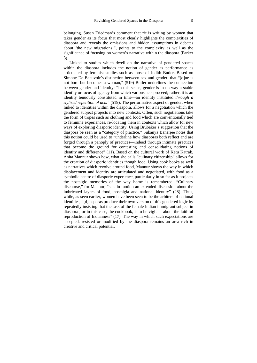belonging. Susan Friedman's comment that "it is writing by women that takes gender as its focus that most clearly highlights the complexities of diaspora and reveals the omissions and hidden assumptions in debates about 'the new migrations'", points to the complexity as well as the significance of focusing on women's narrative within the diaspora (Parker 3).

Linked to studies which dwell on the narrative of gendered spaces within the diaspora includes the notion of gender as performance as articulated by feminist studies such as those of Judith Butler. Based on Simone De Beauvoir's distinction between sex and gender, that "[o]ne is not born but becomes a woman," (519) Butler underlines the connection between gender and identity: "In this sense, gender is in no way a stable identity or locus of agency from which various acts proceed; rather, it is an identity tenuously constituted in time—an identity instituted *through a stylized repetition of acts"* (519). The performative aspect of gender, when linked to identities within the diaspora, allows for a negotiation which the gendered subject projects into new contexts. Often, such negotiations take the form of tropes such as clothing and food which are conventionally tied to feminine experiences, re-locating them in contexts which allow for new ways of exploring diasporic identity. Using Brubaker's suggestion that the diaspora be seen as a "category of practice," Sukanya Banerjee notes that this notion could be used to "underline how diasporas both reflect and are forged through a panoply of practices—indeed through intimate practices that become the ground for contesting and consolidating notions of identity and difference" (11). Based on the cultural work of Ketu Katrak, Anita Mannur shows how, what she calls "culinary citizenship" allows for the creation of diasporic identities though food. Using cook books as well as narratives which revolve around food, Mannur shows the way in which displacement and identity are articulated and negotiated, with food as a symbolic centre of diasporic experience, particularly in so far as it projects the nostalgic memories of the way home is remembered. "Culinary discourse," for Mannur, "sets in motion an extended discussion about the imbricated layers of food, nostalgia and national identity" (28). Thus, while, as seen earlier, women have been seen to be the arbiters of national identities, "[d]iasporas produce their own version of this gendered logic by repeatedly insisting that the task of the female Indian immigrant subject in diaspora , or in this case, the cookbook, is to be vigilant about the faithful reproduction of Indianness" (17). The way in which such expectations are accepted, resisted or modified by the diaspora remains an area rich in creative and critical potential.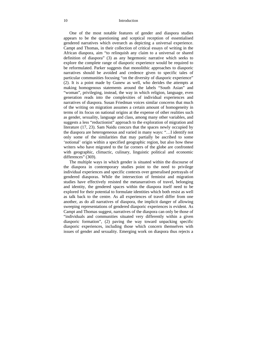#### 10 Introduction

One of the most notable features of gender and diaspora studies appears to be the questioning and sceptical reception of essentialised gendered narratives which overarch as depicting a universal experience. Campt and Thomas, in their collection of critical essays of writing in the African diaspora, aim "to relinquish any claim to a universal or shared definition of diaspora" (3) as any hegemonic narrative which seeks to explore the complete range of diasporic experience would be required to be reformulated. Parker suggests that monolithic approaches to diasporic narratives should be avoided and credence given to specific tales of particular communities focusing "on the diversity of diasporic experience" (2). It is a point made by Gunew as well, who derides the attempts at making homogenous statements around the labels "South Asian" and "woman", privileging, instead, the way in which religion, language, even generation reads into the complexities of individual experiences and narratives of diaspora. Susan Friedman voices similar concerns that much of the writing on migration assumes a certain amount of homogeneity in terms of its focus on national origins at the expense of other realities such as gender, sexuality, language and class, among many other variables, and suggests a less "reductionist" approach to the exploration of migration and literature (17, 23). Sam Naidu concurs that the spaces newly occupied by the diaspora are heterogeneous and varied in many ways: "…I identify not only some of the similarities that may partially be ascribed to some 'notional' origin within a specified geographic region, but also how these writers who have migrated to the far corners of the globe are confronted with geographic, climactic, culinary, linguistic political and economic differences" (369).

The multiple ways in which gender is situated within the discourse of the diaspora in contemporary studies point to the need to privilege individual experiences and specific contexts over generalised portrayals of gendered diasporas. While the intersection of feminist and migration studies have effectively resisted the metanarratives of travel, belonging and identity, the gendered spaces within the diaspora itself need to be explored for their potential to formulate identities which both resist as well as talk back to the centre. As all experiences of travel differ from one another, as do all narratives of diaspora, the implicit danger of allowing sweeping representations of gendered diasporic experiences is evident. As Campt and Thomas suggest, narratives of the diaspora can only be those of "individuals and communities situated very differently within a given diasporic formation", (2) paving the way toward unpacking specific diasporic experiences, including those which concern themselves with issues of gender and sexuality. Emerging work on diaspora thus rejects a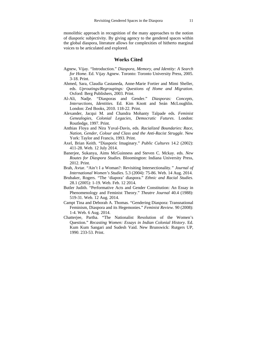monolithic approach in recognition of the many approaches to the notion of diasporic subjectivity. By giving agency to the gendered spaces within the global diaspora, literature allows for complexities of hitherto marginal voices to be articulated and explored.

#### **Works Cited**

- Agnew, Vijay. "Introduction." *Diaspora, Memory, and Identity: A Search for Home*. Ed. Vijay Agnew. Toronto: Toronto University Press, 2005. 3-18. Print.
- Ahmed, Sara, Claudia Castaneda, Anne-Marie Fortier and Mimi Sheller, eds. *Uproutings/Regroupings: Questions of Home and Migration*. Oxford: Berg Publishers, 2003. Print.
- Al-Ali, Nadje. "Diasporas and Gender." *Diasporas: Concepts, Intersections, Identities.* Ed. Kim Knott and Seán McLoughlin. London: Zed Books, 2010. 118-22. Print.
- Alexander, Jacqui M. and Chandra Mohanty Talpade eds*. Feminist Genealogies, Colonial Legacies, Democratic Futures*. London: Routledge, 1997. Print.
- Anthias Floya and Nira Yuval-Davis*,* eds. *Racialized Boundaries: Race, Nation, Gender, Colour and Class and the Anti-Racist Struggle*. New York: Taylor and Francis, 1993. Print.
- Axel, Brian Keith. "Diasporic Imaginary." *Public Cultures* 14.2 (2002): 411-28. Web. 12 July 2014.
- Banerjee, Sukanya, Aims McGuinness and Steven C. Mckay. eds. *New Routes for Diaspora Studies.* Bloomington: Indiana University Press, 2012. Print.
- Brah, Avtar. "Ain't I a Woman?: Revisiting Intersectionality*." Journal of International Women's Studies*. 5.3 (2004): 75-86. Web. 14 Aug. 2014.
- Brubaker, Rogers. "The 'diapora' diaspora." *Ethnic and Racial Studies*. 28.1 (2005): 1-19. Web. Feb. 12 2014.
- Butler Judith. "Performative Acts and Gender Constitution: An Essay in Phenomenology and Feminist Theory." *Theatre Journal* 40.4 (1988): 519-31. Web. 12 Aug. 2014.
- Campt Tina and Deborah A. Thomas. "Gendering Diaspora: Transnational Feminism, Diaspora and its Hegemonies." *Feminist Review.* 90 (2008): 1-4. Web. 6 Aug. 2014.
- Chatterjee, Partha. "The Nationalist Resolution of the Women's Question." *Recasting Women: Essays in Indian Colonial History*. Ed. Kum Kum Sangari and Sudesh Vaid. New Brunswick: Rutgers UP, 1990. 233-53. Print.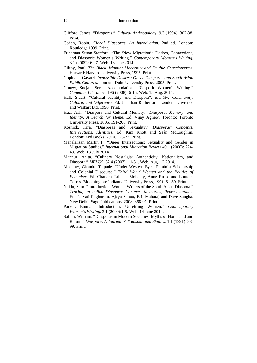- Clifford, James. "Diasporas." *Cultural Anthropology*. 9.3 (1994): 302-38. Print.
- Cohen, Robin. *Global Diasporas*: *An Introduction*. 2nd ed. London: Routledge 1999. Print.
- Friedman Susan Stanford. "The 'New Migration': Clashes, Connections, and Diasporic Women's Writing." *Contemporary Women's Writing.* 3.1 (2009): 6-27. Web. 13 June 2014.
- Gilroy, Paul. *The Black Atlantic: Modernity and Double Consciousness*. Harvard: Harvard University Press, 1995. Print.
- Gopinath, Gayatri. *Impossible Desires: Queer Diasporas and South Asian Public Cultures*. London: Duke University Press, 2005. Print.
- Gunew, Sneja. "Serial Accomodations: Diasporic Women's Writing." *Canadian Literature*. 196 (2008): 6-15. Web. 15 Aug. 2014.
- Hall, Stuart. "Cultural Identity and Diaspora". *Identity: Community, Culture, and Difference.* Ed. Jonathan Rutherford. London: Lawrence and Wishart Ltd. 1990. Print.
- Hua, Anh. "Diaspora and Cultural Memory." *Diaspora, Memory, and Identity: A Search for Home*. Ed. Vijay Agnew. Toronto: Toronto University Press, 2005. 191-208. Print.
- Kosnick, Kira. "Diasporas and Sexuality." *Diasporas: Concepts, Intersections, Identities.* Ed. Kim Knott and Seán McLoughlin. London: Zed Books, 2010. 123-27. Print.
- Manalansan Martin F. "Queer Intersections: Sexuality and Gender in Migration Studies." *International Migration Review* 40.1 (2006): 224- 49. Web. 13 July 2014.
- Mannur, Anita. "Culinary Nostalgia: Authenticity, Nationalism, and Diaspora." *MELUS*. 32.4 (2007): 11-31. Web. Aug. 12 2014.
- Mohanty, Chandra Talpade. "Under Western Eyes: Feminist Scholarship and Colonial Discourse." *Third World Women and the Politics of Feminism.* Ed. Chandra Talpade Mohanty, Anne Russo and Lourdes Torres. Bloomington: Indianna University Press, 1991. 51-80. Print.
- Naidu, Sam. "Introduction: Women Writers of the South Asian Diaspora." *Tracing an Indian Diaspora: Contexts, Memories, Representations*. Ed. Parvati Raghuram, Ajaya Sahoo, Brij Maharaj and Dave Sangha. New Delhi: Sage Publications, 2008. 368-91. Print.
- Parker, Emma. "Introduction: Unsettling Women." *Contemporary Women's Writing.* 3.1 (2009):1-5. Web. 14 June 2014.
- Safran, William. "Diasporas in Modern Societies: Myths of Homeland and Return." *Diaspora*: *A Journal of Transnational Studies.* 1.1 (1991): 83- 99. Print.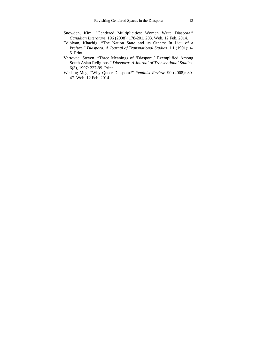- Snowden, Kim. "Gendered Multiplicities: Women Write Diaspora." *Canadian Literature*. 196 (2008): 178-201, 203. Web. 12 Feb. 2014.
- Tölölyan, Khachig. "The Nation State and its Others: In Lieu of a Preface." *Diaspora: A Journal of Transnational Studies.* 1.1 (1991): 4- 5. Print.
- Vertovec, Steven. "Three Meanings of 'Diaspora,' Exemplified Among South Asian Religions." *Diaspora: A Journal of Transnational Studies.*  6(3), 1997: 227-99. Print.
- Wesling Meg. "Why Queer Diaspora?" *Feminist Review.* 90 (2008): 30- 47. Web. 12 Feb. 2014.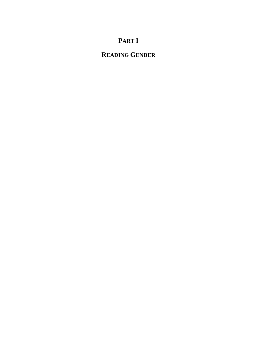# **PART I**

# **READING GENDER**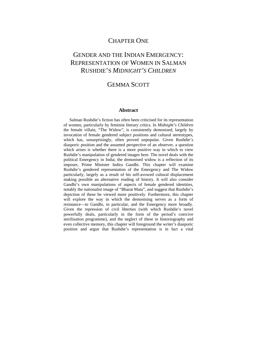# CHAPTER ONE

# GENDER AND THE INDIAN EMERGENCY: REPRESENTATION OF WOMEN IN SALMAN RUSHDIE'S *MIDNIGHT'S CHILDREN*

## GEMMA SCOTT

#### **Abstract**

Salman Rushdie's fiction has often been criticised for its representation of women, particularly by feminist literary critics. In *Midnight's Children* the female villain, "The Widow", is consistently demonised, largely by invocation of female gendered subject positions and cultural stereotypes, which has, unsurprisingly, often proved unpopular. Given Rushdie's diasporic position and the assumed perspective of an observer, a question which arises is whether there is a more positive way in which to view Rushdie's manipulation of gendered images here. The novel deals with the political Emergency in India; the demonised widow is a reflection of its imposer, Prime Minister Indira Gandhi. This chapter will examine Rushdie's gendered representation of the Emergency and The Widow particularly, largely as a result of his self-avowed cultural displacement making possible an alternative reading of history. It will also consider Gandhi's own manipulations of aspects of female gendered identities, notably the nationalist image of "Bharat Mata", and suggest that Rushdie's depiction of these be viewed more positively. Furthermore, this chapter will explore the way in which the demonising serves as a form of resistance—to Gandhi, in particular, and the Emergency more broadly. Given the repression of civil liberties (with which Rushdie's novel powerfully deals, particularly in the form of the period's coercive sterilisation programme), and the neglect of these in historiography and even collective memory, this chapter will foreground the writer's diasporic position and argue that Rushdie's representation is in fact a vital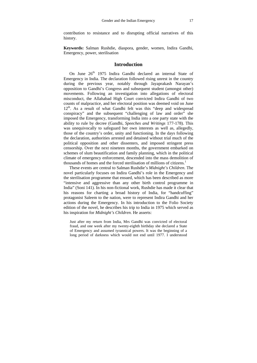contribution to resistance and to disrupting official narratives of this history.

**Keywords:** Salman Rushdie, diaspora, gender, women, Indira Gandhi, Emergency, power, sterilisation

#### **Introduction**

On June 26<sup>th</sup> 1975 Indira Gandhi declared an internal State of Emergency in India. The declaration followed rising unrest in the country during the previous year, notably through Jayaprakash Narayan's opposition to Gandhi's Congress and subsequent student (amongst other) movements. Following an investigation into allegations of electoral misconduct, the Allahabad High Court convicted Indira Gandhi of two counts of malpractice, and her electoral position was deemed void on June  $12<sup>th</sup>$ . As a result of what Gandhi felt was this "deep and widespread conspiracy" and the subsequent "challenging of law and order" she imposed the Emergency, transforming India into a one party state with the ability to rule by decree (Gandhi, *Speeches and Writings* 177-178). This was unequivocally to safeguard her own interests as well as, allegedly, those of the country's order, unity and functioning. In the days following the declaration, authorities arrested and detained without trial much of the political opposition and other dissenters, and imposed stringent press censorship. Over the next nineteen months, the government embarked on schemes of slum beautification and family planning, which in the political climate of emergency enforcement, descended into the mass demolition of thousands of homes and the forced sterilisation of millions of citizens.<sup>1</sup>

These events are central to Salman Rushdie's *Midnight's Children*. The novel particularly focuses on Indira Gandhi's role in the Emergency and the sterilisation programme that ensued, which has been described as more "intensive and aggressive than any other birth control programme in India" (Soni 141). In his non-fictional work, Rushdie has made it clear that his reasons for charting a broad history of India, for "handcuffing" protagonist Saleem to the nation, were to represent Indira Gandhi and her actions during the Emergency. In his introduction to the Folio Society edition of the novel, he describes his trip to India in 1975 which served as his inspiration for *Midnight's Children*. He asserts:

Just after my return from India, Mrs Gandhi was convicted of electoral fraud, and one week after my twenty-eighth birthday she declared a State of Emergency and assumed tyrannical powers. It was the beginning of a long period of darkness which would not end until 1977. I understood